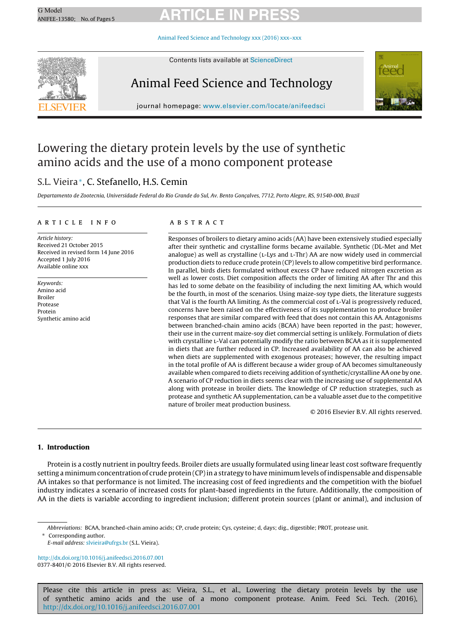## G Model G Model **ARTICLE IN PRESS**

Animal Feed Science and [Technology](dx.doi.org/10.1016/j.anifeedsci.2016.07.001) xxx (2016) xxx–xxx



Contents lists available at [ScienceDirect](http://www.sciencedirect.com/science/journal/03778401)

### Animal Feed Science and Technology



journal homepage: [www.elsevier.com/locate/anifeedsci](http://www.elsevier.com/locate/anifeedsci)

### Lowering the dietary protein levels by the use of synthetic amino acids and the use of a mono component protease

#### S.L. Vieira∗, C. Stefanello, H.S. Cemin

Departamento de Zootecnia, Universidade Federal do Rio Grande do Sul, Av. Bento Gonçalves, 7712, Porto Alegre, RS, 91540-000, Brazil

#### a r t i c l e i n f o

Article history: Received 21 October 2015 Received in revised form 14 June 2016 Accepted 1 July 2016 Available online xxx

Keywords: Amino acid Broiler Protease Protein Synthetic amino acid

#### A B S T R A C T

Responses of broilers to dietary amino acids (AA) have been extensively studied especially after their synthetic and crystalline forms became available. Synthetic (DL-Met and Met analogue) as well as crystalline (L-Lys and L-Thr) AA are now widely used in commercial production diets to reduce crude protein (CP) levels to allow competitive bird performance. In parallel, birds diets formulated without excess CP have reduced nitrogen excretion as well as lower costs. Diet composition affects the order of limiting AA after Thr and this has led to some debate on the feasibility of including the next limiting AA, which would be the fourth, in most of the scenarios. Using maize-soy type diets, the literature suggests that Val is the fourth AA limiting. As the commercial cost of l-Val is progressively reduced, concerns have been raised on the effectiveness of its supplementation to produce broiler responses that are similar compared with feed that does not contain this AA. Antagonisms between branched-chain amino acids (BCAA) have been reported in the past; however, their use in the current maize-soy diet commercial setting is unlikely. Formulation of diets with crystalline l-Val can potentially modify the ratio between BCAA as it is supplemented in diets that are further reduced in CP. Increased availability of AA can also be achieved when diets are supplemented with exogenous proteases; however, the resulting impact in the total profile of AA is different because a wider group of AA becomes simultaneously available when compared to diets receiving addition of synthetic/crystalline AA one by one. A scenario of CP reduction in diets seems clear with the increasing use of supplemental AA along with protease in broiler diets. The knowledge of CP reduction strategies, such as protease and synthetic AA supplementation, can be a valuable asset due to the competitive nature of broiler meat production business.

© 2016 Elsevier B.V. All rights reserved.

#### **1. Introduction**

Protein is a costly nutrient in poultry feeds. Broiler diets are usually formulated using linear least cost software frequently setting a minimum concentration of crude protein (CP)in a strategy to have minimum levels ofindispensable and dispensable AA intakes so that performance is not limited. The increasing cost of feed ingredients and the competition with the biofuel industry indicates a scenario of increased costs for plant-based ingredients in the future. Additionally, the composition of AA in the diets is variable according to ingredient inclusion; different protein sources (plant or animal), and inclusion of

∗ Corresponding author.

E-mail address: [slvieira@ufrgs.br](mailto:slvieira@ufrgs.br) (S.L. Vieira).

[http://dx.doi.org/10.1016/j.anifeedsci.2016.07.001](dx.doi.org/10.1016/j.anifeedsci.2016.07.001) 0377-8401/© 2016 Elsevier B.V. All rights reserved.

Please cite this article in press as: Vieira, S.L., et al., Lowering the dietary protein levels by the use of synthetic amino acids and the use of a mono component protease. Anim. Feed Sci. Tech. (2016), [http://dx.doi.org/10.1016/j.anifeedsci.2016.07.001](dx.doi.org/10.1016/j.anifeedsci.2016.07.001)

Abbreviations: BCAA, branched-chain amino acids; CP, crude protein; Cys, cysteine; d, days; dig., digestible; PROT, protease unit.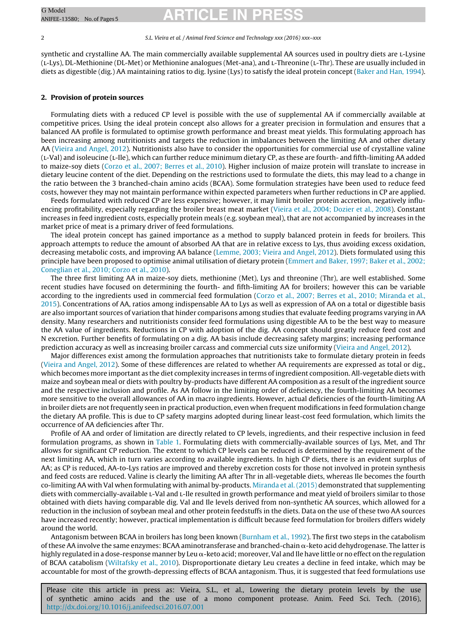## G Model G Model **ARTICLE IN PRESS**

#### 2 S.L. Vieira et al. / Animal Feed Science and Technology xxx (2016) xxx–xxx

synthetic and crystalline AA. The main commercially available supplemental AA sources used in poultry diets are l-Lysine (l-Lys), DL-Methionine (DL-Met) or Methionine analogues (Met-ana), and l-Threonine (l-Thr). These are usually included in diets as digestible (dig.) AA maintaining ratios to dig. lysine (Lys) to satisfy the ideal protein concept [\(Baker](#page--1-0) [and](#page--1-0) [Han,](#page--1-0) [1994\).](#page--1-0)

#### **2. Provision of protein sources**

Formulating diets with a reduced CP level is possible with the use of supplemental AA if commercially available at competitive prices. Using the ideal protein concept also allows for a greater precision in formulation and ensures that a balanced AA profile is formulated to optimise growth performance and breast meat yields. This formulating approach has been increasing among nutritionists and targets the reduction in imbalances between the limiting AA and other dietary AA ([Vieira](#page--1-0) [and](#page--1-0) [Angel,](#page--1-0) [2012\).](#page--1-0) Nutritionists also have to consider the opportunities for commercial use of crystalline valine (l-Val) and isoleucine (l-Ile), which can further reduce minimum dietary CP, as these are fourth- and fifth-limiting AA added to maize-soy diets [\(Corzo](#page--1-0) et [al.,](#page--1-0) [2007;](#page--1-0) [Berres](#page--1-0) et [al.,](#page--1-0) [2010\).](#page--1-0) Higher inclusion of maize protein will translate to increase in dietary leucine content of the diet. Depending on the restrictions used to formulate the diets, this may lead to a change in the ratio between the 3 branched-chain amino acids (BCAA). Some formulation strategies have been used to reduce feed costs, however they may not maintain performance within expected parameters when further reductions in CP are applied.

Feeds formulated with reduced CP are less expensive; however, it may limit broiler protein accretion, negatively influencing profitability, especially regarding the broiler breast meat market [\(Vieira](#page--1-0) et [al.,](#page--1-0) [2004;](#page--1-0) [Dozier](#page--1-0) et [al.,](#page--1-0) [2008\).](#page--1-0) Constant increases in feed ingredient costs, especially protein meals (e.g. soybean meal), that are not accompanied by increases in the market price of meat is a primary driver of feed formulations.

The ideal protein concept has gained importance as a method to supply balanced protein in feeds for broilers. This approach attempts to reduce the amount of absorbed AA that are in relative excess to Lys, thus avoiding excess oxidation, decreasing metabolic costs, and improving AA balance ([Lemme,](#page--1-0) [2003;](#page--1-0) [Vieira](#page--1-0) [and](#page--1-0) [Angel,](#page--1-0) [2012\).](#page--1-0) Diets formulated using this principle have been proposed to optimise animal utilisation of dietary protein [\(Emmert](#page--1-0) [and](#page--1-0) [Baker,](#page--1-0) [1997;](#page--1-0) [Baker](#page--1-0) et [al.,](#page--1-0) [2002;](#page--1-0) [Coneglian](#page--1-0) et [al.,](#page--1-0) [2010;](#page--1-0) [Corzo](#page--1-0) et [al.,](#page--1-0) [2010\).](#page--1-0)

The three first limiting AA in maize-soy diets, methionine (Met), Lys and threonine (Thr), are well established. Some recent studies have focused on determining the fourth- and fifth-limiting AA for broilers; however this can be variable according to the ingredients used in commercial feed formulation ([Corzo](#page--1-0) et [al.,](#page--1-0) [2007;](#page--1-0) [Berres](#page--1-0) et [al.,](#page--1-0) [2010;](#page--1-0) [Miranda](#page--1-0) et [al.,](#page--1-0) [2015\).](#page--1-0) Concentrations of AA, ratios among indispensable AA to Lys as well as expression of AA on a total or digestible basis are also important sources of variation that hinder comparisons among studies that evaluate feeding programs varying in AA density. Many researchers and nutritionists consider feed formulations using digestible AA to be the best way to measure the AA value of ingredients. Reductions in CP with adoption of the dig. AA concept should greatly reduce feed cost and N excretion. Further benefits of formulating on a dig. AA basis include decreasing safety margins; increasing performance prediction accuracy as well as increasing broiler carcass and commercial cuts size uniformity ([Vieira](#page--1-0) [and](#page--1-0) [Angel,](#page--1-0) [2012\).](#page--1-0)

Major differences exist among the formulation approaches that nutritionists take to formulate dietary protein in feeds [\(Vieira](#page--1-0) [and](#page--1-0) [Angel,](#page--1-0) [2012\).](#page--1-0) Some of these differences are related to whether AA requirements are expressed as total or dig., which becomes more important as the diet complexity increases in terms of ingredient composition. All-vegetable diets with maize and soybean meal or diets with poultry by-products have different AA composition as a result of the ingredient source and the respective inclusion and profile. As AA follow in the limiting order of deficiency, the fourth-limiting AA becomes more sensitive to the overall allowances of AA in macro ingredients. However, actual deficiencies of the fourth-limiting AA in broiler diets are not frequently seen in practical production, even when frequent modifications in feed formulation change the dietary AA profile. This is due to CP safety margins adopted during linear least-cost feed formulation, which limits the occurrence of AA deficiencies after Thr.

Profile of AA and order of limitation are directly related to CP levels, ingredients, and their respective inclusion in feed formulation programs, as shown in [Table](#page--1-0) 1. Formulating diets with commercially-available sources of Lys, Met, and Thr allows for significant CP reduction. The extent to which CP levels can be reduced is determined by the requirement of the next limiting AA, which in turn varies according to available ingredients. In high CP diets, there is an evident surplus of AA; as CP is reduced, AA-to-Lys ratios are improved and thereby excretion costs for those not involved in protein synthesis and feed costs are reduced. Valine is clearly the limiting AA after Thr in all-vegetable diets, whereas Ile becomes the fourth co-limiting AA with Val when formulating with animal by-products. [Miranda](#page--1-0) et [al.](#page--1-0) [\(2015\)](#page--1-0) demonstrated that supplementing diets with commercially-available L-Val and L-Ile resulted in growth performance and meat yield of broilers similar to those obtained with diets having comparable dig. Val and Ile levels derived from non-synthetic AA sources, which allowed for a reduction in the inclusion of soybean meal and other protein feedstuffs in the diets. Data on the use of these two AA sources have increased recently; however, practical implementation is difficult because feed formulation for broilers differs widely around the world.

Antagonism between BCAA in broilers has long been known [\(Burnham](#page--1-0) et [al.,](#page--1-0) [1992\).](#page--1-0) The first two steps in the catabolism of these AA involve the same enzymes: BCAA aminotransferase and branched-chain  $\alpha$ -keto acid dehydrogenase. The latter is highly regulated in a dose-response manner by Leu  $\alpha$ -keto acid; moreover, Val and Ile have little or no effect on the regulation of BCAA catabolism ([Wiltafsky](#page--1-0) et [al.,](#page--1-0) [2010\).](#page--1-0) Disproportionate dietary Leu creates a decline in feed intake, which may be accountable for most of the growth-depressing effects of BCAA antagonism. Thus, it is suggested that feed formulations use

Please cite this article in press as: Vieira, S.L., et al., Lowering the dietary protein levels by the use of synthetic amino acids and the use of a mono component protease. Anim. Feed Sci. Tech. (2016), [http://dx.doi.org/10.1016/j.anifeedsci.2016.07.001](dx.doi.org/10.1016/j.anifeedsci.2016.07.001)